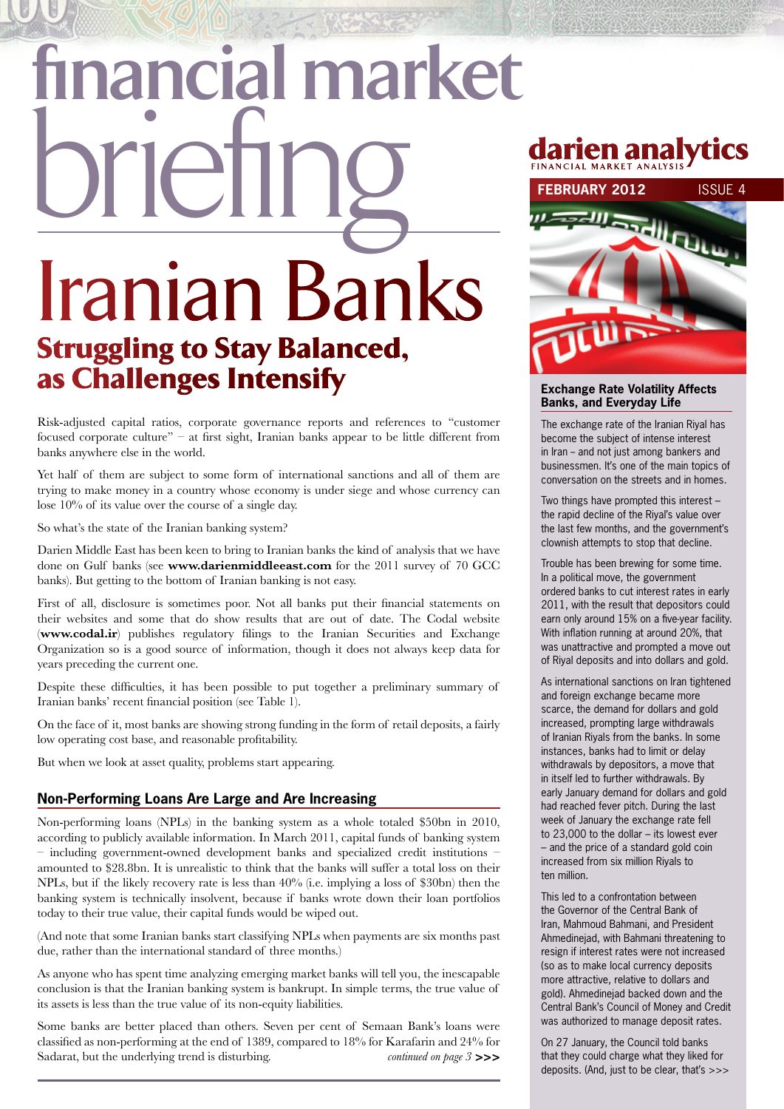# Iranian Banks Struggling to Stay Balanced, as Challenges Intensify  **financial market britannical Marien analytics**<br>FEBRUARY 2012 ISSUE 4

Risk-adjusted capital ratios, corporate governance reports and references to "customer focused corporate culture" – at first sight, Iranian banks appear to be little different from banks anywhere else in the world.

Yet half of them are subject to some form of international sanctions and all of them are trying to make money in a country whose economy is under siege and whose currency can lose 10% of its value over the course of a single day.

So what's the state of the Iranian banking system?

Darien Middle East has been keen to bring to Iranian banks the kind of analysis that we have done on Gulf banks (see **www.darienmiddleeast.com** for the 2011 survey of 70 GCC banks). But getting to the bottom of Iranian banking is not easy.

First of all, disclosure is sometimes poor. Not all banks put their financial statements on their websites and some that do show results that are out of date. The Codal website (**www.codal.ir**) publishes regulatory filings to the Iranian Securities and Exchange Organization so is a good source of information, though it does not always keep data for years preceding the current one.

Despite these difficulties, it has been possible to put together a preliminary summary of Iranian banks' recent financial position (see Table 1).

On the face of it, most banks are showing strong funding in the form of retail deposits, a fairly low operating cost base, and reasonable profitability.

But when we look at asset quality, problems start appearing.

#### **Non-Performing Loans Are Large and Are Increasing**

Non-performing loans (NPLs) in the banking system as a whole totaled \$50bn in 2010, according to publicly available information. In March 2011, capital funds of banking system  $-$  including government-owned development banks and specialized credit institutions  $$ amounted to \$28.8bn. It is unrealistic to think that the banks will suffer a total loss on their NPLs, but if the likely recovery rate is less than 40% (i.e. implying a loss of \$30bn) then the banking system is technically insolvent, because if banks wrote down their loan portfolios today to their true value, their capital funds would be wiped out.

(And note that some Iranian banks start classifying NPLs when payments are six months past due, rather than the international standard of three months.)

As anyone who has spent time analyzing emerging market banks will tell you, the inescapable conclusion is that the Iranian banking system is bankrupt. In simple terms, the true value of its assets is less than the true value of its non-equity liabilities.

Some banks are better placed than others. Seven per cent of Semaan Bank's loans were classified as non-performing at the end of 1389, compared to 18% for Karafarin and 24% for Sadarat, but the underlying trend is disturbing. *continued on page 3* **>>>**

## **Financial market A n a ly s i s**



#### **Exchange Rate Volatility Affects Banks, and Everyday Life**

The exchange rate of the Iranian Riyal has become the subject of intense interest in Iran - and not just among bankers and businessmen. It's one of the main topics of conversation on the streets and in homes.

Two things have prompted this interest – the rapid decline of the Riyal's value over the last few months, and the government's clownish attempts to stop that decline.

Trouble has been brewing for some time. In a political move, the government ordered banks to cut interest rates in early 2011, with the result that depositors could earn only around 15% on a five-year facility. With inflation running at around 20%, that was unattractive and prompted a move out of Riyal deposits and into dollars and gold.

As international sanctions on Iran tightened and foreign exchange became more scarce, the demand for dollars and gold increased, prompting large withdrawals of Iranian Riyals from the banks. In some instances, banks had to limit or delay withdrawals by depositors, a move that in itself led to further withdrawals. By early January demand for dollars and gold had reached fever pitch. During the last week of January the exchange rate fell to 23,000 to the dollar – its lowest ever – and the price of a standard gold coin increased from six million Riyals to ten million.

This led to a confrontation between the Governor of the Central Bank of Iran, Mahmoud Bahmani, and President Ahmedinejad, with Bahmani threatening to resign if interest rates were not increased (so as to make local currency deposits more attractive, relative to dollars and gold). Ahmedinejad backed down and the Central Bank's Council of Money and Credit was authorized to manage deposit rates.

On 27 January, the Council told banks that they could charge what they liked for deposits. (And, just to be clear, that's >>>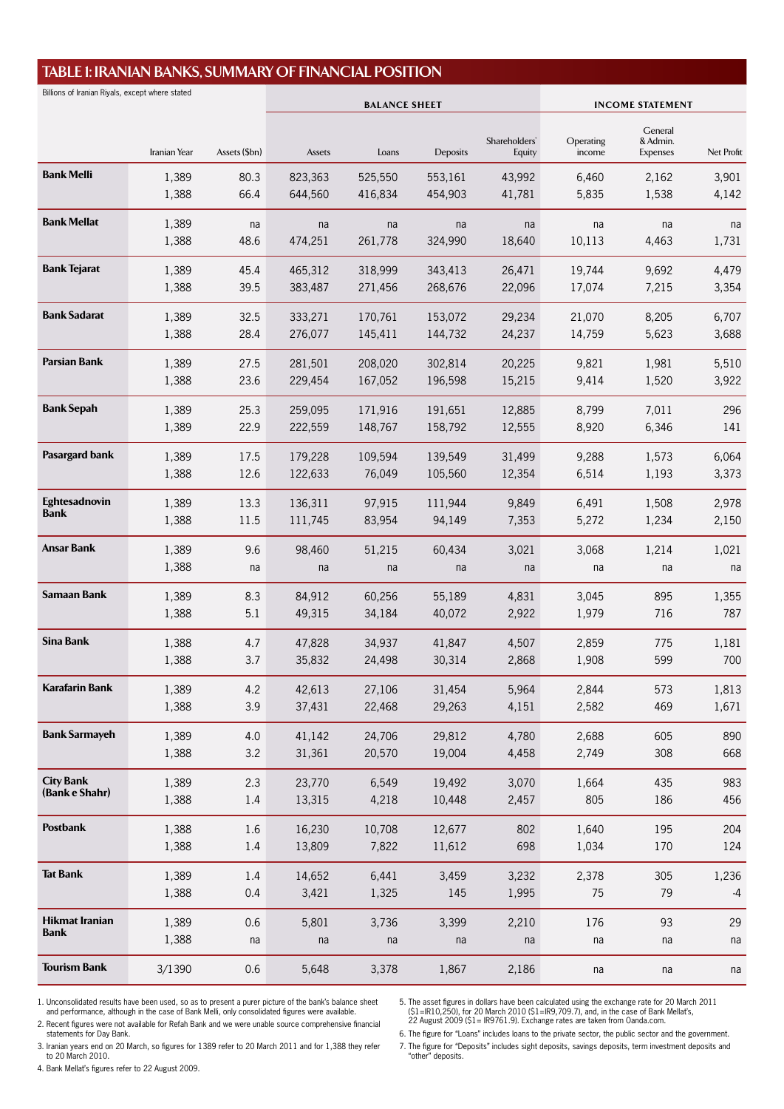#### **TABLE 1: Iranian Banks, Summary of Financial Position**

| Billions of Iranian Riyals, except where stated |              | <b>BALANCE SHEET</b> |         |         |          | <b>INCOME STATEMENT</b> |                     |                             |            |
|-------------------------------------------------|--------------|----------------------|---------|---------|----------|-------------------------|---------------------|-----------------------------|------------|
|                                                 |              |                      |         |         |          |                         |                     | General                     |            |
|                                                 | Iranian Year | Assets (\$bn)        | Assets  | Loans   | Deposits | Shareholders'<br>Equity | Operating<br>income | & Admin.<br><b>Expenses</b> | Net Profit |
| <b>Bank Melli</b>                               | 1,389        | 80.3                 | 823,363 | 525,550 | 553,161  | 43,992                  | 6,460               | 2,162                       | 3,901      |
|                                                 | 1,388        | 66.4                 | 644,560 | 416,834 | 454,903  | 41,781                  | 5,835               | 1,538                       | 4,142      |
| <b>Bank Mellat</b>                              | 1,389        | na                   | na      | na      | na       | na                      | na                  | na                          | na         |
|                                                 | 1,388        | 48.6                 | 474,251 | 261,778 | 324,990  | 18.640                  | 10,113              | 4,463                       | 1,731      |
| <b>Bank Tejarat</b>                             | 1,389        | 45.4                 | 465,312 | 318,999 | 343,413  | 26,471                  | 19,744              | 9,692                       | 4,479      |
|                                                 | 1,388        | 39.5                 | 383,487 | 271,456 | 268,676  | 22,096                  | 17,074              | 7,215                       | 3,354      |
| <b>Bank Sadarat</b>                             | 1,389        | 32.5                 | 333,271 | 170,761 | 153,072  | 29,234                  | 21,070              | 8,205                       | 6,707      |
|                                                 | 1,388        | 28.4                 | 276,077 | 145,411 | 144,732  | 24,237                  | 14,759              | 5,623                       | 3,688      |
| <b>Parsian Bank</b>                             | 1,389        | 27.5                 | 281,501 | 208,020 | 302,814  | 20,225                  | 9,821               | 1,981                       | 5,510      |
|                                                 | 1,388        | 23.6                 | 229,454 | 167,052 | 196,598  | 15,215                  | 9,414               | 1,520                       | 3,922      |
| <b>Bank Sepah</b>                               | 1,389        | 25.3                 | 259,095 | 171,916 | 191,651  | 12,885                  | 8,799               | 7,011                       | 296        |
|                                                 | 1,389        | 22.9                 | 222,559 | 148,767 | 158,792  | 12,555                  | 8,920               | 6,346                       | 141        |
| Pasargard bank                                  | 1,389        | 17.5                 | 179,228 | 109,594 | 139,549  | 31,499                  | 9,288               | 1,573                       | 6,064      |
|                                                 | 1,388        | 12.6                 | 122,633 | 76,049  | 105,560  | 12,354                  | 6,514               | 1,193                       | 3,373      |
| Eghtesadnovin                                   | 1,389        | 13.3                 | 136,311 | 97,915  | 111,944  | 9,849                   | 6,491               | 1,508                       | 2,978      |
| <b>Bank</b>                                     | 1,388        | 11.5                 | 111,745 | 83,954  | 94,149   | 7,353                   | 5,272               | 1,234                       | 2,150      |
| Ansar Bank                                      | 1,389        | 9.6                  | 98,460  | 51,215  | 60,434   | 3,021                   | 3,068               | 1,214                       | 1,021      |
|                                                 | 1,388        | na                   | na      | na      | na       | na                      | na                  | na                          | na         |
| <b>Samaan Bank</b>                              | 1,389        | 8.3                  | 84,912  | 60,256  | 55,189   | 4,831                   | 3,045               | 895                         | 1,355      |
|                                                 | 1,388        | 5.1                  | 49,315  | 34,184  | 40,072   | 2,922                   | 1,979               | 716                         | 787        |
| <b>Sina Bank</b>                                | 1,388        | 4.7                  | 47,828  | 34,937  | 41,847   | 4,507                   | 2,859               | 775                         | 1,181      |
|                                                 | 1,388        | 3.7                  | 35,832  | 24,498  | 30,314   | 2,868                   | 1,908               | 599                         | 700        |
| <b>Karafarin Bank</b>                           | 1,389        | 4.2                  | 42,613  | 27,106  | 31,454   | 5,964                   | 2,844               | 573                         | 1,813      |
|                                                 | 1,388        | 3.9                  | 37,431  | 22,468  | 29,263   | 4,151                   | 2,582               | 469                         | 1,671      |
| <b>Bank Sarmayeh</b>                            | 1,389        | 4.0                  | 41,142  | 24,706  | 29,812   | 4,780                   | 2,688               | 605                         | 890        |
|                                                 | 1,388        | 3.2                  | 31,361  | 20,570  | 19,004   | 4,458                   | 2,749               | 308                         | 668        |
| <b>City Bank</b>                                | 1,389        | 2.3                  | 23,770  | 6,549   | 19,492   | 3,070                   | 1,664               | 435                         | 983        |
| (Bank e Shahr)                                  | 1,388        | 1.4                  | 13,315  | 4,218   | 10,448   | 2,457                   | 805                 | 186                         | 456        |
| Postbank                                        | 1,388        | 1.6                  | 16,230  | 10,708  | 12,677   | 802                     | 1,640               | 195                         | 204        |
|                                                 | 1,388        | 1.4                  | 13,809  | 7,822   | 11,612   | 698                     | 1,034               | 170                         | 124        |
| <b>Tat Bank</b>                                 | 1,389        | 1.4                  | 14,652  | 6,441   | 3,459    | 3,232                   | 2,378               | 305                         | 1,236      |
|                                                 | 1,388        | 0.4                  | 3,421   | 1,325   | 145      | 1,995                   | 75                  | 79                          | $-4$       |
| <b>Hikmat Iranian</b>                           | 1,389        | 0.6                  | 5,801   | 3,736   | 3,399    | 2,210                   | 176                 | 93                          | 29         |
| <b>Bank</b>                                     | 1,388        | na                   | na      | na      | na       | na                      | na                  | na                          | na         |
| <b>Tourism Bank</b>                             | 3/1390       | 0.6                  | 5,648   | 3,378   | 1,867    | 2,186                   | na                  | na                          | na         |

1. Unconsolidated results have been used, so as to present a purer picture of the bank's balance sheet and performance, although in the case of Bank Melli, only consolidated figures were available.

2. Recent figures were not available for Refah Bank and we were unable source comprehensive financial statements for Day Bank.

5. The asset figures in dollars have been calculated using the exchange rate for 20 March 2011<br>(\$1 = IR10,250), for 20 March 2010 (\$1 = IR9,709.7), and, in the case of Bank Mellat's,<br>22 August 2009 (\$1 = IR9761.9). Exchang

3. Iranian years end on 20 March, so figures for 1389 refer to 20 March 2011 and for 1,388 they refer to 20 March 2010.

6. The figure for "Loans" includes loans to the private sector, the public sector and the government.

4. Bank Mellat's figures refer to 22 August 2009.

7. The figure for "Deposits" includes sight deposits, savings deposits, term investment deposits and "other" deposits.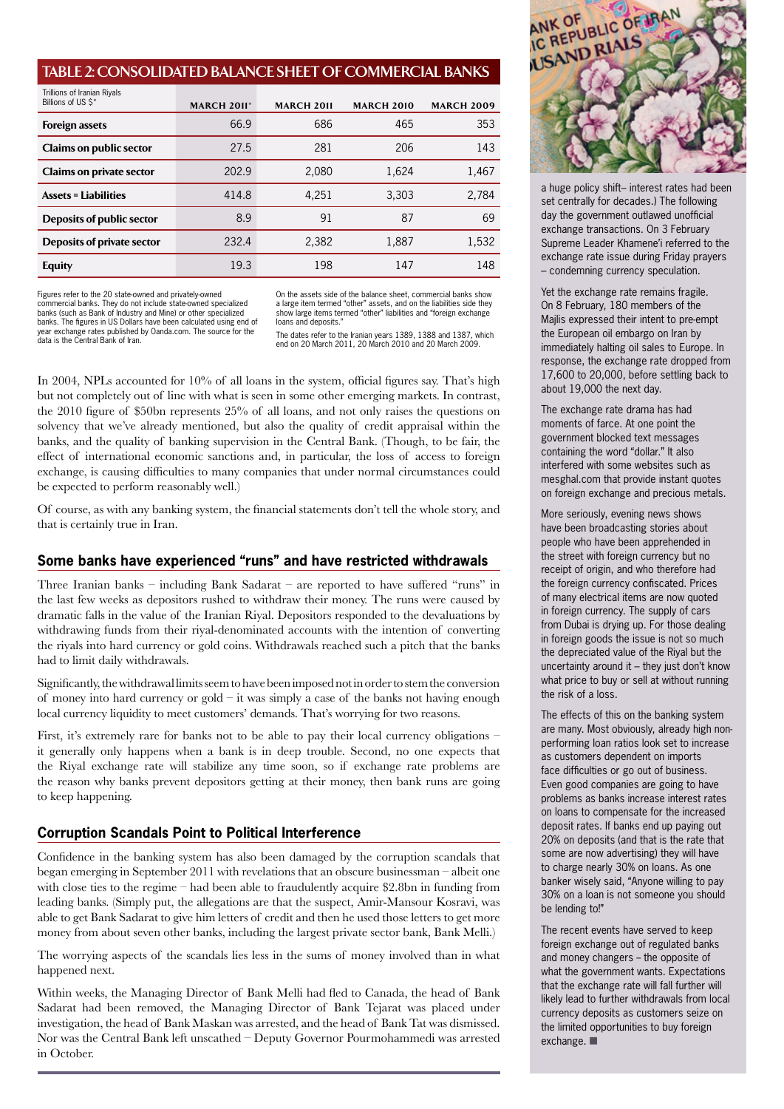#### **TABLE 2: Consolidated Balance Sheet of Commercial Banks**

| Trillions of Iranian Riyals<br>Billions of US \$* | <b>MARCH 2011*</b> | <b>MARCH 2011</b> | <b>MARCH 2010</b> | <b>MARCH 2009</b> |
|---------------------------------------------------|--------------------|-------------------|-------------------|-------------------|
| <b>Foreign assets</b>                             | 66.9               | 686               | 465               | 353               |
| <b>Claims on public sector</b>                    | 27.5               | 281               | 206               | 143               |
| <b>Claims on private sector</b>                   | 202.9              | 2,080             | 1,624             | 1,467             |
| <b>Assets = Liabilities</b>                       | 414.8              | 4.251             | 3.303             | 2,784             |
| <b>Deposits of public sector</b>                  | 8.9                | 91                | 87                | 69                |
| Deposits of private sector                        | 232.4              | 2,382             | 1,887             | 1,532             |
| <b>Equity</b>                                     | 19.3               | 198               | 147               | 148               |

Figures refer to the 20 state-owned and privately-owned commercial banks. They do not include state-owned specialized banks (such as Bank of Industry and Mine) or other specialized banks. The figures in US Dollars have been calculated using end of ear exchange rates published by Oanda.com. The source for the data is the Central Bank of Iran.

On the assets side of the balance sheet, commercial banks show a large item termed "other" assets, and on the liabilities side they show large items termed "other" liabilities and "foreign exchange loans and deposits."

The dates refer to the Iranian years 1389, 1388 and 1387, which end on 20 March 2011, 20 March 2010 and 20 March 2009.

In 2004, NPLs accounted for 10% of all loans in the system, official figures say. That's high but not completely out of line with what is seen in some other emerging markets. In contrast, the 2010 figure of \$50bn represents 25% of all loans, and not only raises the questions on solvency that we've already mentioned, but also the quality of credit appraisal within the banks, and the quality of banking supervision in the Central Bank. (Though, to be fair, the effect of international economic sanctions and, in particular, the loss of access to foreign exchange, is causing difficulties to many companies that under normal circumstances could be expected to perform reasonably well.)

Of course, as with any banking system, the financial statements don't tell the whole story, and that is certainly true in Iran.

#### **Some banks have experienced "runs" and have restricted withdrawals**

Three Iranian banks – including Bank Sadarat – are reported to have suffered "runs" in the last few weeks as depositors rushed to withdraw their money. The runs were caused by dramatic falls in the value of the Iranian Riyal. Depositors responded to the devaluations by withdrawing funds from their riyal-denominated accounts with the intention of converting the riyals into hard currency or gold coins. Withdrawals reached such a pitch that the banks had to limit daily withdrawals.

Significantly, the withdrawal limits seem to have been imposed not in order to stem the conversion of money into hard currency or gold – it was simply a case of the banks not having enough local currency liquidity to meet customers' demands. That's worrying for two reasons.

First, it's extremely rare for banks not to be able to pay their local currency obligations – it generally only happens when a bank is in deep trouble. Second, no one expects that the Riyal exchange rate will stabilize any time soon, so if exchange rate problems are the reason why banks prevent depositors getting at their money, then bank runs are going to keep happening.

#### **Corruption Scandals Point to Political Interference**

Confidence in the banking system has also been damaged by the corruption scandals that began emerging in September 2011 with revelations that an obscure businessman – albeit one with close ties to the regime – had been able to fraudulently acquire \$2.8bn in funding from leading banks. (Simply put, the allegations are that the suspect, Amir-Mansour Kosravi, was able to get Bank Sadarat to give him letters of credit and then he used those letters to get more money from about seven other banks, including the largest private sector bank, Bank Melli.)

The worrying aspects of the scandals lies less in the sums of money involved than in what happened next.

Within weeks, the Managing Director of Bank Melli had fled to Canada, the head of Bank Sadarat had been removed, the Managing Director of Bank Tejarat was placed under investigation, the head of Bank Maskan was arrested, and the head of Bank Tat was dismissed. Nor was the Central Bank left unscathed – Deputy Governor Pourmohammedi was arrested in October.



a huge policy shift– interest rates had been set centrally for decades.) The following day the government outlawed unofficial exchange transactions. On 3 February Supreme Leader Khamene'i referred to the exchange rate issue during Friday prayers – condemning currency speculation.

Yet the exchange rate remains fragile. On 8 February, 180 members of the Majlis expressed their intent to pre-empt the European oil embargo on Iran by immediately halting oil sales to Europe. In response, the exchange rate dropped from 17,600 to 20,000, before settling back to about 19,000 the next day.

The exchange rate drama has had moments of farce. At one point the government blocked text messages containing the word "dollar." It also interfered with some websites such as mesghal.com that provide instant quotes on foreign exchange and precious metals.

More seriously, evening news shows have been broadcasting stories about people who have been apprehended in the street with foreign currency but no receipt of origin, and who therefore had the foreign currency confiscated. Prices of many electrical items are now quoted in foreign currency. The supply of cars from Dubai is drying up. For those dealing in foreign goods the issue is not so much the depreciated value of the Riyal but the uncertainty around it – they just don't know what price to buy or sell at without running the risk of a loss.

The effects of this on the banking system are many. Most obviously, already high nonperforming loan ratios look set to increase as customers dependent on imports face difficulties or go out of business. Even good companies are going to have problems as banks increase interest rates on loans to compensate for the increased deposit rates. If banks end up paying out 20% on deposits (and that is the rate that some are now advertising) they will have to charge nearly 30% on loans. As one banker wisely said, "Anyone willing to pay 30% on a loan is not someone you should be lending to!"

The recent events have served to keep foreign exchange out of regulated banks and money changers -- the opposite of what the government wants. Expectations that the exchange rate will fall further will likely lead to further withdrawals from local currency deposits as customers seize on the limited opportunities to buy foreign exchange.  $\blacksquare$